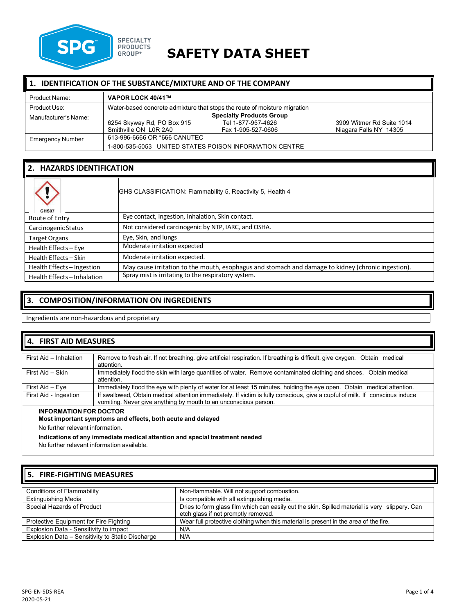

# **SAFETY DATA SHEET**

# **1. IDENTIFICATION OF THE SUBSTANCE/MIXTURE AND OF THE COMPANY**

| Product Name:           | VAPOR LOCK 40/41™                                                         |                                                        |                           |
|-------------------------|---------------------------------------------------------------------------|--------------------------------------------------------|---------------------------|
| Product Use:            | Water-based concrete admixture that stops the route of moisture migration |                                                        |                           |
| Manufacturer's Name:    |                                                                           | <b>Specialty Products Group</b>                        |                           |
|                         | 6254 Skyway Rd, PO Box 915                                                | Tel 1-877-957-4626                                     | 3909 Witmer Rd Suite 1014 |
|                         | Smithville ON L0R 2A0                                                     | Fax 1-905-527-0606                                     | Niagara Falls NY 14305    |
| <b>Emergency Number</b> | 613-996-6666 OR *666 CANUTEC                                              |                                                        |                           |
|                         |                                                                           | 1-800-535-5053 UNITED STATES POISON INFORMATION CENTRE |                           |

# **2. HAZARDS IDENTIFICATION**

| GHS07                       | GHS CLASSIFICATION: Flammability 5, Reactivity 5, Health 4                                         |
|-----------------------------|----------------------------------------------------------------------------------------------------|
| Route of Entry              | Eye contact, Ingestion, Inhalation, Skin contact.                                                  |
| Carcinogenic Status         | Not considered carcinogenic by NTP, IARC, and OSHA.                                                |
| <b>Target Organs</b>        | Eye, Skin, and lungs                                                                               |
| Health Effects - Eye        | Moderate irritation expected                                                                       |
| Health Effects - Skin       | Moderate irritation expected.                                                                      |
| Health Effects - Ingestion  | May cause irritation to the mouth, esophagus and stomach and damage to kidney (chronic ingestion). |
| Health Effects - Inhalation | Spray mist is irritating to the respiratory system.                                                |

# **3. COMPOSITION/INFORMATION ON INGREDIENTS**

Ingredients are non-hazardous and proprietary

# **4. FIRST AID MEASURES**

| First Aid - Inhalation        | Remove to fresh air. If not breathing, give artificial respiration. If breathing is difficult, give oxygen. Obtain medical<br>attention.                                                         |
|-------------------------------|--------------------------------------------------------------------------------------------------------------------------------------------------------------------------------------------------|
| First Aid - Skin              | Immediately flood the skin with large quantities of water. Remove contaminated clothing and shoes. Obtain medical<br>attention                                                                   |
| First Aid – Eve               | Immediately flood the eye with plenty of water for at least 15 minutes, holding the eye open. Obtain medical attention.                                                                          |
| First Aid - Ingestion         | If swallowed, Obtain medical attention immediately. If victim is fully conscious, give a cupful of milk. If conscious induce<br>vomiting. Never give anything by mouth to an unconscious person. |
| <b>INFORMATION FOR DOCTOR</b> |                                                                                                                                                                                                  |

#### **Most important symptoms and effects, both acute and delayed**

No further relevant information.

**Indications of any immediate medical attention and special treatment needed**

No further relevant information available.

### **5. FIRE-FIGHTING MEASURES**

| <b>Conditions of Flammability</b>                | Non-flammable. Will not support combustion.                                                    |
|--------------------------------------------------|------------------------------------------------------------------------------------------------|
| <b>Extinguishing Media</b>                       | Is compatible with all extinguishing media.                                                    |
| Special Hazards of Product                       | Dries to form glass film which can easily cut the skin. Spilled material is very slippery. Can |
|                                                  | etch glass if not promptly removed.                                                            |
| Protective Equipment for Fire Fighting           | Wear full protective clothing when this material is present in the area of the fire.           |
| Explosion Data - Sensitivity to impact           | N/A                                                                                            |
| Explosion Data - Sensitivity to Static Discharge | N/A                                                                                            |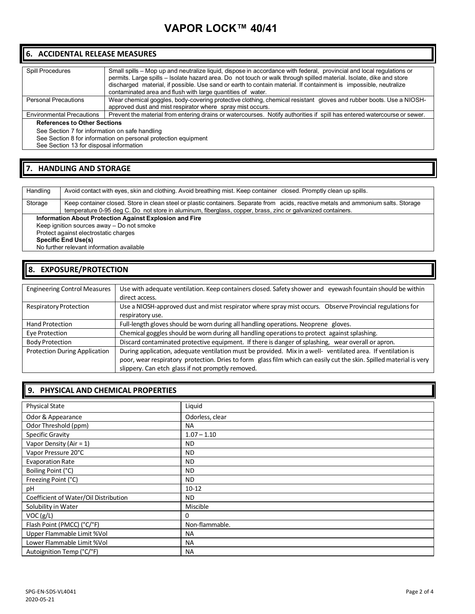# **VAPOR LOCK™ 40/41**

# **6. ACCIDENTAL RELEASE MEASURES**

| <b>Spill Procedures</b>          | Small spills – Mop up and neutralize liquid, dispose in accordance with federal, provincial and local requlations or<br>permits. Large spills - Isolate hazard area. Do not touch or walk through spilled material. Isolate, dike and store<br>discharged material, if possible. Use sand or earth to contain material. If containment is impossible, neutralize<br>contaminated area and flush with large quantities of water. |
|----------------------------------|---------------------------------------------------------------------------------------------------------------------------------------------------------------------------------------------------------------------------------------------------------------------------------------------------------------------------------------------------------------------------------------------------------------------------------|
| <b>Personal Precautions</b>      | Wear chemical goggles, body-covering protective clothing, chemical resistant gloves and rubber boots. Use a NIOSH-<br>approved dust and mist respirator where spray mist occurs.                                                                                                                                                                                                                                                |
| <b>Environmental Precautions</b> | Prevent the material from entering drains or watercourses. Notify authorities if spill has entered watercourse or sewer.                                                                                                                                                                                                                                                                                                        |

#### **References to Other Sections**

See Section 7 for information on safe handling

See Section 8 for information on personal protection equipment

See Section 13 for disposal information

# **7. HANDLING AND STORAGE**

Handling | Avoid contact with eyes, skin and clothing. Avoid breathing mist. Keep container closed. Promptly clean up spills. Storage Keep container closed. Store in clean steel or plastic containers. Separate from acids, reactive metals and ammonium salts. Storage temperature 0-95 deg C. Do not store in aluminum, fiberglass, copper, brass, zinc or galvanized containers. **Information About Protection Against Explosion and Fire** Keep ignition sources away – Do not smoke Protect against electrostatic charges **Specific End Use(s)** No further relevant information available

# **8. EXPOSURE/PROTECTION**

| <b>Engineering Control Measures</b>  | Use with adequate ventilation. Keep containers closed. Safety shower and eyewash fountain should be within          |
|--------------------------------------|---------------------------------------------------------------------------------------------------------------------|
|                                      | direct access.                                                                                                      |
| <b>Respiratory Protection</b>        | Use a NIOSH-approved dust and mist respirator where spray mist occurs. Observe Provincial regulations for           |
|                                      | respiratory use.                                                                                                    |
| <b>Hand Protection</b>               | Full-length gloves should be worn during all handling operations. Neoprene gloves.                                  |
| Eye Protection                       | Chemical goggles should be worn during all handling operations to protect against splashing.                        |
| <b>Body Protection</b>               | Discard contaminated protective equipment. If there is danger of splashing, wear overall or apron.                  |
| <b>Protection During Application</b> | During application, adequate ventilation must be provided. Mix in a well- ventilated area. If ventilation is        |
|                                      | poor, wear respiratory protection. Dries to form glass film which can easily cut the skin. Spilled material is very |
|                                      | slippery. Can etch glass if not promptly removed.                                                                   |

### **9. PHYSICAL AND CHEMICAL PROPERTIES**

| $\overline{\phantom{a}}$              |                 |
|---------------------------------------|-----------------|
| <b>Physical State</b>                 | Liquid          |
| Odor & Appearance                     | Odorless, clear |
| Odor Threshold (ppm)                  | <b>NA</b>       |
| Specific Gravity                      | $1.07 - 1.10$   |
| Vapor Density (Air = 1)               | ND.             |
| Vapor Pressure 20°C                   | <b>ND</b>       |
| <b>Evaporation Rate</b>               | <b>ND</b>       |
| Boiling Point (°C)                    | <b>ND</b>       |
| Freezing Point (°C)                   | ND.             |
| рH                                    | $10 - 12$       |
| Coefficient of Water/Oil Distribution | <b>ND</b>       |
| Solubility in Water                   | Miscible        |
| VOC(g/L)                              | 0               |
| Flash Point (PMCC) (°C/°F)            | Non-flammable.  |
| Upper Flammable Limit %Vol            | <b>NA</b>       |
| Lower Flammable Limit %Vol            | <b>NA</b>       |
| Autoignition Temp (°C/°F)             | <b>NA</b>       |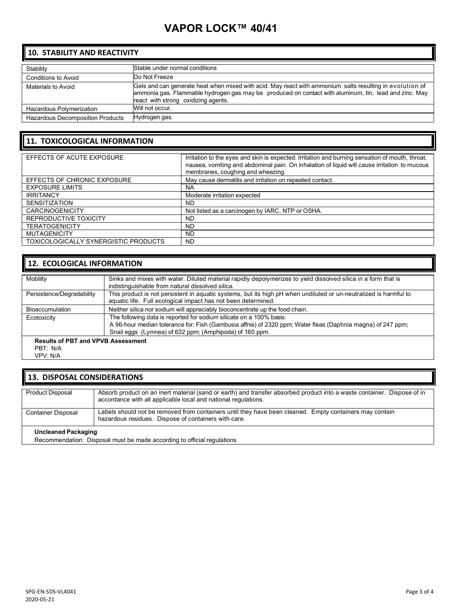# **VAPOR LOCK™ 40/41**

# **10. STABILITY AND REACTIVITY**

| Stability                               | Stable under normal conditions                                                                                                                                                                                                                           |
|-----------------------------------------|----------------------------------------------------------------------------------------------------------------------------------------------------------------------------------------------------------------------------------------------------------|
| Conditions to Avoid                     | Do Not Freeze                                                                                                                                                                                                                                            |
| Materials to Avoid                      | Gels and can generate heat when mixed with acid. May react with ammonium salts resulting in evolution of<br>ammonia gas. Flammable hydrogen gas may be produced on contact with aluminum, tin, lead and zinc. May<br>react with strong oxidizing agents. |
| Hazardous Polymerization                | Will not occur.                                                                                                                                                                                                                                          |
| <b>Hazardous Decomposition Products</b> | Hydrogen gas.                                                                                                                                                                                                                                            |

# **11. TOXICOLOGICAL INFORMATION**

| EFFECTS OF ACUTE EXPOSURE            | Irritation to the eyes and skin is expected. Irritation and burning sensation of mouth, throat, |
|--------------------------------------|-------------------------------------------------------------------------------------------------|
|                                      | nausea, vomiting and abdominal pain. On inhalation of liquid will cause irritation to mucous    |
|                                      | membranes, coughing and wheezing.                                                               |
|                                      |                                                                                                 |
| EFFECTS OF CHRONIC EXPOSURE          | May cause dermatitis and irritation on repeated contact.                                        |
| <b>EXPOSURE LIMITS</b>               | <b>NA</b>                                                                                       |
| <b>IRRITANCY</b>                     | Moderate irritation expected                                                                    |
| <b>SENSITIZATION</b>                 | <b>ND</b>                                                                                       |
| <b>CARCINOGENICITY</b>               | Not listed as a carcinogen by IARC, NTP or OSHA.                                                |
| REPRODUCTIVE TOXICITY                | ND                                                                                              |
| <b>TERATOGENICITY</b>                | <b>ND</b>                                                                                       |
| <b>MUTAGENICITY</b>                  | ND.                                                                                             |
| TOXICOLOGICALLY SYNERGISTIC PRODUCTS | <b>ND</b>                                                                                       |

# **12. ECOLOGICAL INFORMATION**

| Mobility                                  | Sinks and mixes with water. Diluted material rapidly depolymerizes to yield dissolved silica in a form that is    |
|-------------------------------------------|-------------------------------------------------------------------------------------------------------------------|
|                                           | indistinguishable from natural dissolved silica.                                                                  |
|                                           |                                                                                                                   |
| Persistence/Degradability                 | This product is not persistent in aquatic systems, but its high pH when undiluted or un-neutralized is harmful to |
|                                           | aquatic life. Full ecological impact has not been determined.                                                     |
|                                           |                                                                                                                   |
| <b>Bioaccumulation</b>                    | Neither silica nor sodium will appreciably bioconcentrate up the food chain.                                      |
| Ecotoxicity                               | The following data is reported for sodium silicate on a 100% basis:                                               |
|                                           | A 96-hour median tolerance for: Fish (Gambusia affnis) of 2320 ppm; Water fleas (Daphnia magna) of 247 ppm;       |
|                                           | Snail eggs (Lymnea) of 632 ppm; (Amphipoda) of 160 ppm.                                                           |
|                                           |                                                                                                                   |
| <b>Results of PBT and VPVB Assessment</b> |                                                                                                                   |

#### **Results of PBT and VPVB Assessment** PBT: N/A

VPV: N/A

### **13. DISPOSAL CONSIDERATIONS**

| Product Disposal           | Absorb product on an inert material (sand or earth) and transfer absorbed product into a waste container. Dispose of in<br>accordance with all applicable local and national regulations. |
|----------------------------|-------------------------------------------------------------------------------------------------------------------------------------------------------------------------------------------|
| Container Disposal         | Labels should not be removed from containers until they have been cleaned. Empty containers may contain<br>hazardous residues. Dispose of containers with care.                           |
| <b>Uncleaned Packaging</b> | Recommendation: Disposal must be made according to official regulations                                                                                                                   |